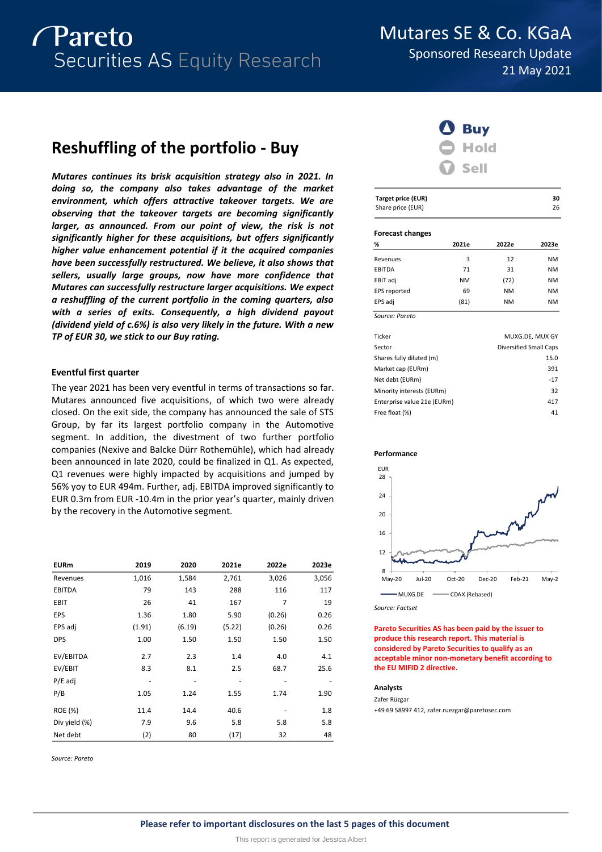# *Pareto* Securities AS Equity Research

Mutares SE & Co. KGaA

Sponsored Research Update 21 May 2021

# **Reshuffling of the portfolio - Buy**

*Mutares continues its brisk acquisition strategy also in 2021. In doing so, the company also takes advantage of the market environment, which offers attractive takeover targets. We are observing that the takeover targets are becoming significantly larger, as announced. From our point of view, the risk is not significantly higher for these acquisitions, but offers significantly higher value enhancement potential if it the acquired companies have been successfully restructured. We believe, it also shows that sellers, usually large groups, now have more confidence that Mutares can successfully restructure larger acquisitions. We expect a reshuffling of the current portfolio in the coming quarters, also with a series of exits. Consequently, a high dividend payout (dividend yield of c.6%) is also very likely in the future. With a new TP of EUR 30, we stick to our Buy rating.*

# **Eventful first quarter**

The year 2021 has been very eventful in terms of transactions so far. Mutares announced five acquisitions, of which two were already closed. On the exit side, the company has announced the sale of STS Group, by far its largest portfolio company in the Automotive segment. In addition, the divestment of two further portfolio companies (Nexive and Balcke Dürr Rothemühle), which had already been announced in late 2020, could be finalized in Q1. As expected, Q1 revenues were highly impacted by acquisitions and jumped by 56% yoy to EUR 494m. Further, adj. EBITDA improved significantly to EUR 0.3m from EUR -10.4m in the prior year's quarter, mainly driven by the recovery in the Automotive segment.

| <b>EURm</b>    | 2019   | 2020   | 2021e  | 2022e  | 2023e |
|----------------|--------|--------|--------|--------|-------|
| Revenues       | 1,016  | 1,584  | 2,761  | 3,026  | 3,056 |
| <b>EBITDA</b>  | 79     | 143    | 288    | 116    | 117   |
| <b>EBIT</b>    | 26     | 41     | 167    | 7      | 19    |
| EPS            | 1.36   | 1.80   | 5.90   | (0.26) | 0.26  |
| EPS adj        | (1.91) | (6.19) | (5.22) | (0.26) | 0.26  |
| <b>DPS</b>     | 1.00   | 1.50   | 1.50   | 1.50   | 1.50  |
| EV/EBITDA      | 2.7    | 2.3    | 1.4    | 4.0    | 4.1   |
| EV/EBIT        | 8.3    | 8.1    | 2.5    | 68.7   | 25.6  |
| $P/E$ adj      |        |        |        |        |       |
| P/B            | 1.05   | 1.24   | 1.55   | 1.74   | 1.90  |
| <b>ROE</b> (%) | 11.4   | 14.4   | 40.6   |        | 1.8   |
| Div yield (%)  | 7.9    | 9.6    | 5.8    | 5.8    | 5.8   |
| Net debt       | (2)    | 80     | (17)   | 32     | 48    |

*Source: Pareto*



| <b>Target price (EUR)</b> | 30 |
|---------------------------|----|
| Share price (EUR)         | 26 |

### **Forecast changes**

| %              | 2021e     | 2022e     | 2023e     |
|----------------|-----------|-----------|-----------|
| Revenues       | 3         | 12        | <b>NM</b> |
| EBITDA         | 71        | 31        | <b>NM</b> |
| EBIT adj       | <b>NM</b> | (72)      | <b>NM</b> |
| EPS reported   | 69        | <b>NM</b> | <b>NM</b> |
| EPS adj        | (81)      | <b>NM</b> | <b>NM</b> |
| Source: Pareto |           |           |           |

| Ticker                      | MUXG.DE, MUX GY        |
|-----------------------------|------------------------|
| Sector                      | Diversified Small Caps |
| Shares fully diluted (m)    | 15.0                   |
| Market cap (EURm)           | 391                    |
| Net debt (EURm)             | $-17$                  |
| Minority interests (EURm)   | 32                     |
| Enterprise value 21e (EURm) | 417                    |
| Free float (%)              | 41                     |
|                             |                        |





*Source: Factset*

**Pareto Securities AS has been paid by the issuer to produce this research report. This material is considered by Pareto Securities to qualify as an acceptable minor non-monetary benefit according to the EU MIFID 2 directive.**

## **Analysts**

Zafer Rüzgar +49 69 58997 412, zafer.ruezgar@paretosec.com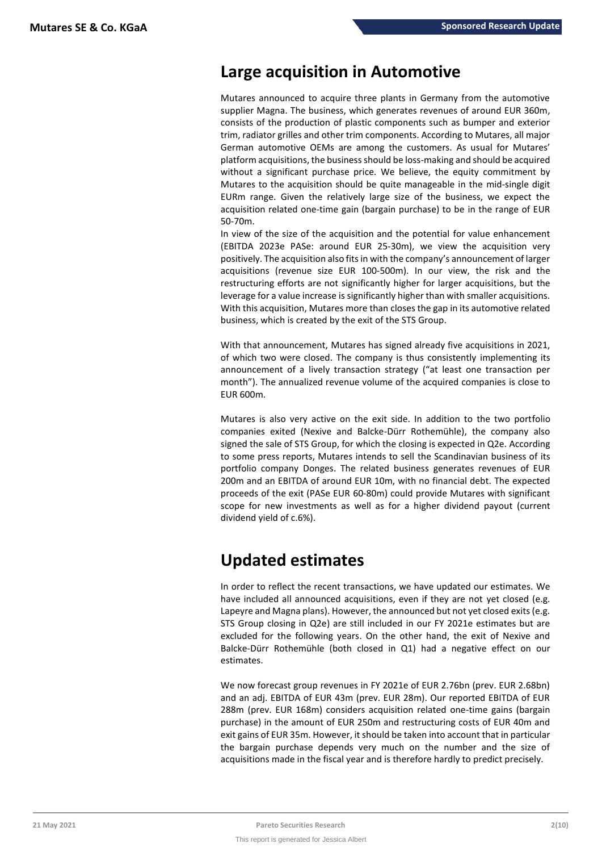# **Large acquisition in Automotive**

Mutares announced to acquire three plants in Germany from the automotive supplier Magna. The business, which generates revenues of around EUR 360m, consists of the production of plastic components such as bumper and exterior trim, radiator grilles and other trim components. According to Mutares, all major German automotive OEMs are among the customers. As usual for Mutares' platform acquisitions, the business should be loss-making and should be acquired without a significant purchase price. We believe, the equity commitment by Mutares to the acquisition should be quite manageable in the mid-single digit EURm range. Given the relatively large size of the business, we expect the acquisition related one-time gain (bargain purchase) to be in the range of EUR 50-70m.

In view of the size of the acquisition and the potential for value enhancement (EBITDA 2023e PASe: around EUR 25-30m), we view the acquisition very positively. The acquisition also fits in with the company's announcement of larger acquisitions (revenue size EUR 100-500m). In our view, the risk and the restructuring efforts are not significantly higher for larger acquisitions, but the leverage for a value increase is significantly higher than with smaller acquisitions. With this acquisition, Mutares more than closes the gap in its automotive related business, which is created by the exit of the STS Group.

With that announcement, Mutares has signed already five acquisitions in 2021, of which two were closed. The company is thus consistently implementing its announcement of a lively transaction strategy ("at least one transaction per month"). The annualized revenue volume of the acquired companies is close to EUR 600m.

Mutares is also very active on the exit side. In addition to the two portfolio companies exited (Nexive and Balcke-Dürr Rothemühle), the company also signed the sale of STS Group, for which the closing is expected in Q2e. According to some press reports, Mutares intends to sell the Scandinavian business of its portfolio company Donges. The related business generates revenues of EUR 200m and an EBITDA of around EUR 10m, with no financial debt. The expected proceeds of the exit (PASe EUR 60-80m) could provide Mutares with significant scope for new investments as well as for a higher dividend payout (current dividend yield of c.6%).

# **Updated estimates**

In order to reflect the recent transactions, we have updated our estimates. We have included all announced acquisitions, even if they are not yet closed (e.g. Lapeyre and Magna plans). However, the announced but not yet closed exits (e.g. STS Group closing in Q2e) are still included in our FY 2021e estimates but are excluded for the following years. On the other hand, the exit of Nexive and Balcke-Dürr Rothemühle (both closed in Q1) had a negative effect on our estimates.

We now forecast group revenues in FY 2021e of EUR 2.76bn (prev. EUR 2.68bn) and an adj. EBITDA of EUR 43m (prev. EUR 28m). Our reported EBITDA of EUR 288m (prev. EUR 168m) considers acquisition related one-time gains (bargain purchase) in the amount of EUR 250m and restructuring costs of EUR 40m and exit gains of EUR 35m. However, it should be taken into account that in particular the bargain purchase depends very much on the number and the size of acquisitions made in the fiscal year and is therefore hardly to predict precisely.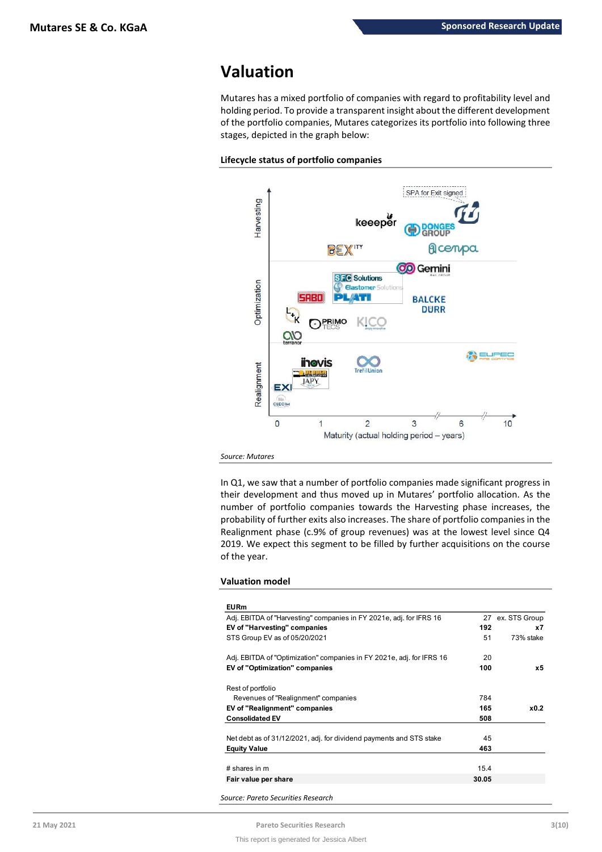# **Valuation**

Mutares has a mixed portfolio of companies with regard to profitability level and holding period. To provide a transparent insight about the different development of the portfolio companies, Mutares categorizes its portfolio into following three stages, depicted in the graph below:





*Source: Mutares*

In Q1, we saw that a number of portfolio companies made significant progress in their development and thus moved up in Mutares' portfolio allocation. As the number of portfolio companies towards the Harvesting phase increases, the probability of further exits also increases. The share of portfolio companies in the Realignment phase (c.9% of group revenues) was at the lowest level since Q4 2019. We expect this segment to be filled by further acquisitions on the course of the year.

# **Valuation model**

| <b>EURm</b>                                                           |       |                  |
|-----------------------------------------------------------------------|-------|------------------|
| Adj. EBITDA of "Harvesting" companies in FY 2021e, adj. for IFRS 16   | 27    | ex. STS Group    |
| EV of "Harvesting" companies                                          | 192   | x7               |
| STS Group EV as of 05/20/2021                                         | 51    | 73% stake        |
| Adj. EBITDA of "Optimization" companies in FY 2021e, adj. for IFRS 16 | 20    |                  |
| <b>EV of "Optimization" companies</b>                                 | 100   | х5               |
| Rest of portfolio                                                     |       |                  |
| Revenues of "Realignment" companies                                   | 784   |                  |
| EV of "Realignment" companies                                         | 165   | x <sub>0.2</sub> |
| <b>Consolidated EV</b>                                                | 508   |                  |
| Net debt as of 31/12/2021, adj. for dividend payments and STS stake   | 45    |                  |
| <b>Equity Value</b>                                                   | 463   |                  |
| # shares in m                                                         | 15.4  |                  |
| Fair value per share                                                  | 30.05 |                  |

*Source: Pareto Securities Research*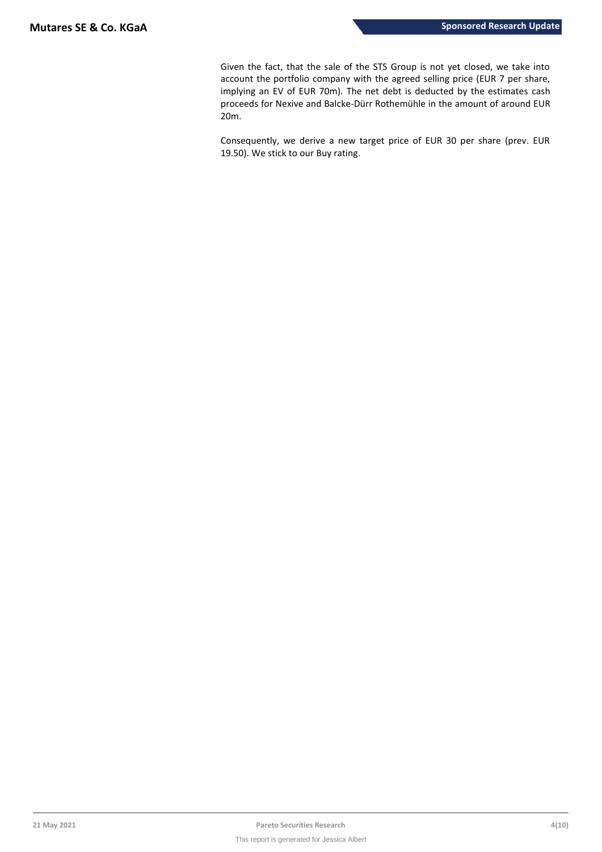Given the fact, that the sale of the STS Group is not yet closed, we take into account the portfolio company with the agreed selling price (EUR 7 per share, implying an EV of EUR 70m). The net debt is deducted by the estimates cash proceeds for Nexive and Balcke-Dürr Rothemühle in the amount of around EUR 20m.

Consequently, we derive a new target price of EUR 30 per share (prev. EUR 19.50). We stick to our Buy rating.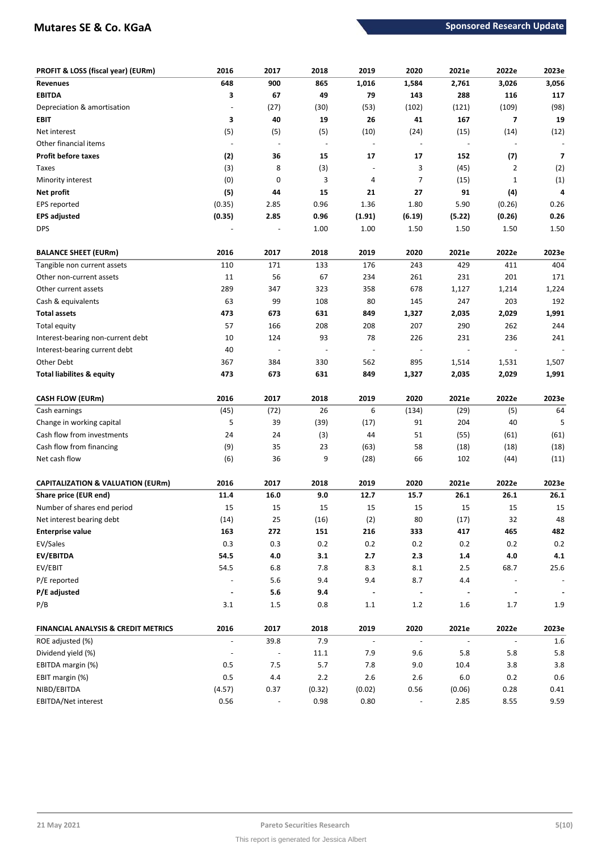# **Mutares SE & Co. KGaA Sponsored Research Update**

| PROFIT & LOSS (fiscal year) (EURm)             | 2016                     | 2017         | 2018                     | 2019                     | 2020                     | 2021e                    | 2022e                    | 2023e          |
|------------------------------------------------|--------------------------|--------------|--------------------------|--------------------------|--------------------------|--------------------------|--------------------------|----------------|
| <b>Revenues</b>                                | 648                      | 900          | 865                      | 1,016                    | 1,584                    | 2,761                    | 3,026                    | 3,056          |
| <b>EBITDA</b>                                  | 3                        | 67           | 49                       | 79                       | 143                      | 288                      | 116                      | 117            |
| Depreciation & amortisation                    |                          | (27)         | (30)                     | (53)                     | (102)                    | (121)                    | (109)                    | (98)           |
| EBIT                                           | 3                        | 40           | 19                       | 26                       | 41                       | 167                      | 7                        | 19             |
| Net interest                                   | (5)                      | (5)          | (5)                      | (10)                     | (24)                     | (15)                     | (14)                     | (12)           |
| Other financial items                          | $\overline{\phantom{a}}$ |              | $\overline{\phantom{a}}$ | $\overline{\phantom{a}}$ |                          | $\overline{\phantom{a}}$ | $\overline{\phantom{a}}$ |                |
| <b>Profit before taxes</b>                     | (2)                      | 36           | 15                       | 17                       | 17                       | 152                      | (7)                      | 7              |
| Taxes                                          | (3)                      | 8            | (3)                      | $\overline{\phantom{a}}$ | 3                        | (45)                     | $\overline{2}$           | (2)            |
| Minority interest                              | (0)                      | 0            | 3                        | 4                        | 7                        | (15)                     | $\mathbf{1}$             | (1)            |
| Net profit                                     | (5)                      | 44           | 15                       | 21                       | 27                       | 91                       | (4)                      | 4              |
| EPS reported                                   | (0.35)                   | 2.85         | 0.96                     | 1.36                     | 1.80                     | 5.90                     | (0.26)                   | 0.26           |
| <b>EPS adjusted</b>                            | (0.35)                   | 2.85         | 0.96                     | (1.91)                   | (6.19)                   | (5.22)                   | (0.26)                   | 0.26           |
| <b>DPS</b>                                     |                          |              | 1.00                     | 1.00                     | 1.50                     | 1.50                     | 1.50                     | 1.50           |
|                                                |                          |              |                          |                          |                          |                          |                          |                |
| <b>BALANCE SHEET (EURm)</b>                    | 2016                     | 2017         | 2018                     | 2019                     | 2020                     | 2021e                    | 2022e                    | 2023e          |
| Tangible non current assets                    | 110                      | 171          | 133                      | 176                      | 243                      | 429                      | 411                      | 404            |
| Other non-current assets                       | 11                       | 56           | 67                       | 234                      | 261                      | 231                      | 201                      | 171            |
| Other current assets                           | 289                      | 347          | 323                      | 358                      | 678                      | 1,127                    | 1,214                    | 1,224          |
| Cash & equivalents                             | 63                       | 99           | 108                      | 80                       | 145                      | 247                      | 203                      | 192            |
| <b>Total assets</b>                            | 473                      | 673          | 631                      | 849                      | 1,327                    | 2,035                    | 2,029                    | 1,991          |
| Total equity                                   | 57                       | 166          | 208                      | 208                      | 207                      | 290                      | 262                      | 244            |
| Interest-bearing non-current debt              | 10                       | 124          | 93                       | 78                       | 226                      | 231                      | 236                      | 241            |
| Interest-bearing current debt                  | 40                       |              | $\overline{\phantom{a}}$ | $\overline{\phantom{a}}$ |                          |                          |                          |                |
| Other Debt                                     | 367                      | 384          | 330                      | 562                      | 895                      | 1,514                    | 1,531                    | 1,507          |
| <b>Total liabilites &amp; equity</b>           | 473                      | 673          | 631                      | 849                      | 1,327                    | 2,035                    | 2,029                    | 1,991          |
| <b>CASH FLOW (EURm)</b>                        | 2016                     | 2017         | 2018                     | 2019                     | 2020                     | 2021e                    | 2022e                    | 2023e          |
| Cash earnings                                  | (45)                     | (72)         | 26                       | 6                        | (134)                    | (29)                     | (5)                      | 64             |
| Change in working capital                      | 5                        | 39           | (39)                     | (17)                     | 91                       | 204                      | 40                       | 5              |
| Cash flow from investments                     | 24                       | 24           | (3)                      | 44                       | 51                       | (55)                     | (61)                     | (61)           |
| Cash flow from financing                       | (9)                      | 35           | 23                       | (63)                     | 58                       | (18)                     | (18)                     | (18)           |
| Net cash flow                                  | (6)                      | 36           | 9                        | (28)                     | 66                       | 102                      | (44)                     | (11)           |
|                                                |                          |              |                          |                          |                          |                          |                          |                |
| <b>CAPITALIZATION &amp; VALUATION (EURm)</b>   | 2016                     | 2017         | 2018                     | 2019                     | 2020                     | 2021e                    | 2022e                    | 2023e          |
| Share price (EUR end)                          | 11.4                     | 16.0         | 9.0                      | 12.7                     | 15.7                     | 26.1                     | 26.1                     | 26.1           |
| Number of shares end period                    | 15                       | 15           | 15                       | 15                       | 15                       | 15                       | 15                       | 15             |
| Net interest bearing debt                      | (14)                     | 25           | (16)                     | (2)                      | $80\,$                   | (17)                     | 32                       | 48             |
| <b>Enterprise value</b>                        | 163                      | 272          | 151                      | 216                      | 333                      | 417                      | 465                      | 482            |
| EV/Sales                                       | 0.3                      | 0.3          | 0.2                      | 0.2                      | 0.2                      | 0.2                      | 0.2                      | $0.2\,$        |
| EV/EBITDA                                      | 54.5                     | $4.0\,$      | 3.1                      | 2.7                      | 2.3                      | 1.4                      | $4.0\,$                  | 4.1            |
| EV/EBIT                                        | 54.5                     | $6.8\,$      | 7.8                      | 8.3                      | 8.1                      | 2.5                      | 68.7                     | 25.6           |
| P/E reported                                   |                          | $5.6\,$      | 9.4                      | 9.4                      | 8.7                      | 4.4                      |                          |                |
| P/E adjusted                                   | $\blacksquare$           | $5.6$        | 9.4                      | $\blacksquare$           | $\blacksquare$           | $\blacksquare$           | $\blacksquare$           | $\blacksquare$ |
| P/B                                            | 3.1                      | $1.5\,$      | 0.8                      | $1.1\,$                  | 1.2                      | 1.6                      | 1.7                      | $1.9\,$        |
| <b>FINANCIAL ANALYSIS &amp; CREDIT METRICS</b> | 2016                     | 2017         | 2018                     | 2019                     | 2020                     | 2021e                    | 2022e                    | 2023e          |
| ROE adjusted (%)                               | $\overline{\phantom{a}}$ | 39.8         | 7.9                      | $\Box$                   | $\overline{\phantom{a}}$ | $\overline{\phantom{a}}$ | $\overline{\phantom{a}}$ | $1.6\,$        |
| Dividend yield (%)                             |                          |              | 11.1                     | 7.9                      | 9.6                      | $5.8\,$                  | 5.8                      | 5.8            |
|                                                |                          |              |                          |                          |                          |                          |                          |                |
|                                                | 0.5                      |              |                          |                          | 9.0                      | 10.4                     | 3.8                      |                |
| EBITDA margin (%)<br>EBIT margin (%)           | $0.5\,$                  | $7.5$<br>4.4 | 5.7<br>$2.2\,$           | 7.8<br>2.6               | 2.6                      | 6.0                      | 0.2                      | $3.8\,$<br>0.6 |
| NIBD/EBITDA                                    | (4.57)                   | 0.37         | (0.32)                   | (0.02)                   | 0.56                     | (0.06)                   | 0.28                     | 0.41           |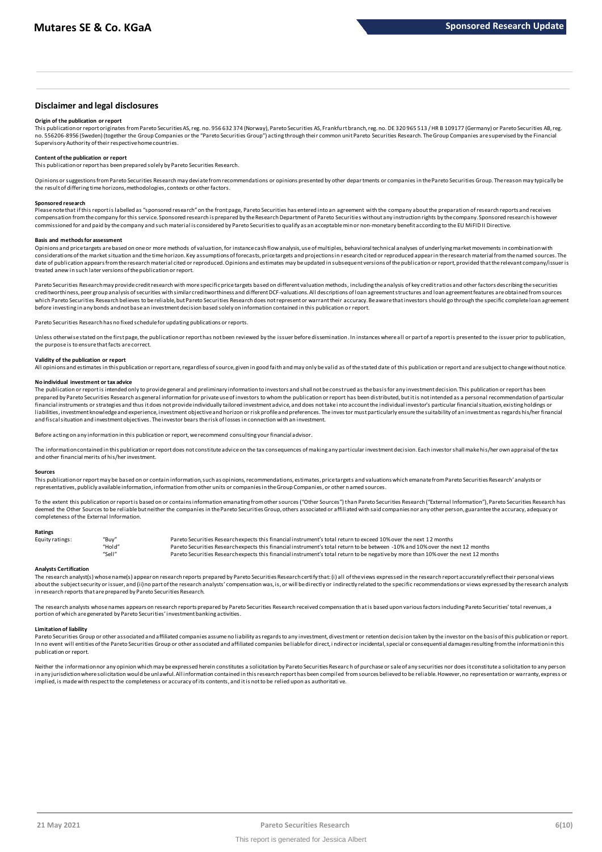## **Disclaimer and legal disclosures**

#### **Origin of the publication or report**

This publication or report originates from Pareto Securities AS, reg. no. 956 632 374 (Norway), Pareto Securities AS, Frankfurt branch, reg. no. DE 320 965 513 / HR B 109177 (Germany) or Pareto Securities AB, reg. no. 556206-8956 (Sweden) (together the Group Companies or the "Pareto Securities Group") acting through their common unit Pareto Securities Research. The Group Companies are supervised by the Financia Supervisory Authority of their respective home countries.

#### **Content of the publication or report**

This publication or report has been prepared solely by Pareto Securities Research.

Opinions or suggestions from Pareto Securities Research may deviate from recommendations or opinions presented by other departments or companies in the Pareto Securities Group. The reason may typically be the result of differing time horizons, methodologies, contexts or other factors.

#### **Sponsored research**

Please note that if this report is labelled as "sponsored research" on the front page, Pareto Securities has entered into an agreement with the company about the preparation of research reports and receives compensation from the company for this service. Sponsored research is prepared by the Research Department of Pareto Securities without any instruction rights by the company. Sponsored research is however commissioned for and paid by the company and such material is considered by Pareto Securities to qualify as an acceptable minor non-monetary benefit according to the EU MiFID II Directive.

#### **Basis and methods for assessment**

Opinions and price targets are based on one or more methods of valuation, for instance cash flow analysis, use of multiples, behavioral technical analyses of underlying market movements in combination with considerations of the market situation and the time horizon. Key assumptions of forecasts, price targets and projections in r esearch cited or reproduced appear in the research material from the named sources. The date of publication appears from the research material cited or reproduced. Opinions and estimates may be updated in subsequent versions of the publication or report, provided that the relevant company/issuer is treated anew in such later versions of the publication or report. considerations of the market situation and the time horizon. Key assumptions of forecasts, price targets and projections in research cited or reproduced appear in the research material from the named sources. That et of pu

which Pareto Securities Research believes to be reliable, but Pareto Securities Research does not represent or warrant their accuracy. Be aware that investors should go through the specific complete loan agreement before investing in any bonds and not base an investment decision based solely on information contained in this publication or report.

Pareto Securities Researchhas no fixed schedule for updating publications or reports.

Unless otherwise stated on the first page, the publication or report has not been reviewed by the issuer before dissemination. In instances where all or part of a report is presented to the issuer prior to publication, the the purpose is to ensure that facts are correct.

**Validity of the publication or report**<br>All opinions and estimates in this publication or report are, regardless of source, given in good faith and may only be valid as of the stated date of this publication or report and

#### **No individual investment or tax advice**

The publication or report is intended only to provide general and preliminary information to investors and shall not be construed as the basis for any investment decision. This publication or report has been prepared by Pareto Securities Research as general information for private use of investors to whom the publication or report has been distributed, but it is not intended as a personal recommendation of particular financial instruments or strategies and thus it does not provide individually tailored investment advice, and does not take i nto account the individual investor's particular financial situation, existing holdings or liabilities, investment knowledge and experience, investment objective and horizon or risk profile and preferences. The investor must particularly ensure the suitability of an investment as regards his/her financial and fiscal situation and investment objectives. The investor bears the risk of losses in connection with an investment.

Before acting on any information in this publication or report, we recommend consulting your financial advisor.

The information contained in this publication or report does not constitute advice on the tax consequences of making any particular investment decision. Each investor shall make his/her own appraisal of the tax and other financial merits of his/her investment.

#### **Sources**

This publication or report may be based on or contain information, such as opinions, recommendations, estimates, price targets and valuations which emanate from Pareto Securities Research' analysts or representatives, publicly available information, information from other units or companies in the Group Companies, or other named sources.

To the extent this publication or report is based on or contains information emanating from other sources ("Other Sources") than Pareto Securities Research ("External Information"), Pareto Securities Research has deemed the Other Sources to be reliable but neither the companies in the Pareto Securities Group, others associated or affiliated with said companies nor any other person, guarantee the accuracy, adequacy or completeness of the External Information.

#### **Ratings**

| Equity ratings: | "Buv"  | Pareto Securities Research expects this financial instrument's total return to exceed 10% over the next 12 months                   |
|-----------------|--------|-------------------------------------------------------------------------------------------------------------------------------------|
|                 | "Hold" | Pareto Securities Research expects this financial instrument's total return to be between -10% and 10% over the next 12 months      |
|                 | "Sell" | Pareto Securities Research expects this financial instrument's total return to be negative by more than 10% over the next 12 months |

Analysts Certification<br>The research analyst(s) whose name(s) appearon research reports prepared by Pareto Securities Research certify that: (i) all of the views expressed in the research report accurately reflect their per "Hold"<br>Pareto Securities Research expects this financial instrument's total return to be between -10% and 10% over the next 12 months<br>Pareto Securities Research expects this financial instrument's total return to be negati in research reports that are prepared by Pareto Securities Research.

The research analysts whose names appears on research reports prepared by Pareto Securities Research received compensation that is based upon various factors including Pareto Securities' total revenues, a portion of which are generated by Pareto Securities' investment banking activities.

#### **Limitation of liability**

Pareto Securities Group or other associated and affiliated companies assume no liability as regards to any investment, divestment or retention decision taken by the investor on the basis of this publication or report. In no event will entities of the Pareto Securities Group or other associated and affiliated companies be liable for direct, i ndirect or incidental, special or consequential damages resulting from the information in this publication or report.

Neither the information nor any opinion which may be expressed herein constitutes a solicitutio to any Pareto Securities Research of purchase or sale of any securities nor does it constitute a solicitation to any person in any jurisdiction where solicitation would be unlawful. All information contained in this research report has been compiled from sources believed to be reliable. However, no representation or warranty, express or implied, is made with respect to the completeness or accuracy of its contents, and it is not to be relied upon as authoritati ve.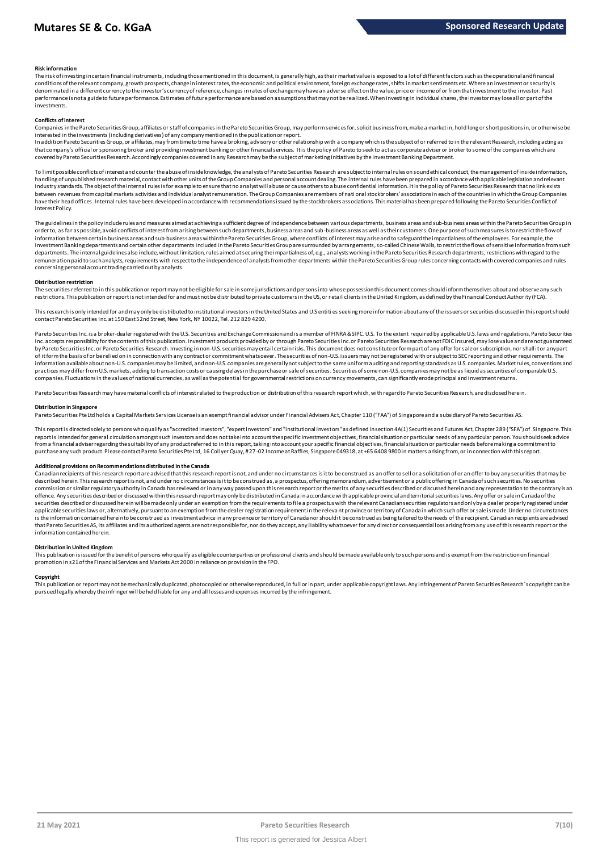#### **Risk information**

The risk of investing incertain financial instruments, including those mentioned in this document, is generally high, as the ir market value is exposed to a lot of different factors such as the operational and financial<br>co denominated in a different currency to the investor's currency of reference, changes in rates of exchange may have an adverse effect on the value, price or income of or from that investment to the investor. Past performance is not a guide to future performance. Estimates of future performance are based on assumptions that may not be realized. When investing in individual shares, the investor may lose all or part of the investments.

#### **Conflicts of interest**

Companies in the Pareto Securities Group, affiliates or staff of companies in the Pareto Securities Group, may perform servic es for, solicit business from, make a market in, hold long or short positions in, or otherwise be interested in the investments (including derivatives) of any company mentioned in the publication or report.

**Conflicts of interest**<br>Companies in the Pareto Securities Group, affiliates or staff of companies in the Pareto Securities Group, may perform services for, solicit business from, make a market in, hold long or short posit that company's official or sponsoring broker and providing investment banking or other financial services. It is the policy of Pareto to seek to act as corporate adviser or broker to some of the companies which are covered by Pareto Securities Research. Accordingly companies covered in any Research may be the subject of marketing initiatives by the Investment Banking Department. In addition Pareto Securities Group, or affiliates, may from time to time have a broking, advisory or other relationship with a company which is the subject of or referred to in the relevant Research, including acting as t

handling of unpublished research material, contact with other units of the Group Companies and personal account dealing. The internal rules have been prepared in accordance with applicable legislation and relevant industry standards. The object of the internal rules is for example to ensure that no analyst will abuse or cause others to a buse confidential information. It is the policy of Pareto Securities Research that no link exist have their head offices. Internal rules have been developed in accordance with recommendations issued by the stockbrokers associations. This material has been prepared following the Pareto Securities Conflict of Interest Policy.

The guidelines in the policy include rules and measures aimed at achieving a sufficient degree of independence between various departments, business areas and sub-business areas within the Pareto Securities Group in order to, as far as possible, avoid conflicts of interest from arising between such departments, business areas and sub-business areas as well as their customers. One purpose of such measures is to restrict the flow of information between certain business areas and sub-business areas within the Pareto Securities Group, where conflicts of interest may arise and to safeguard the impartialness of the employees. For example, the Investment Banking departments and certain other departments included in the Pareto Securities Group are surrounded by arrangements, so-called Chinese Walls, to restrict the flows of sensitive information from such departments. The internal guidelines also include, without limitation, rules aimed at securing the impartialness of, e.g., analysts working in the Pareto Securities Research departments, restrictions with regard to the remuneration paid to suchanalysts, requirements with respect to the independence of analysts from other departments within the Pareto Securities Group rules concerning contacts with covered companies and rules<br>concerning p

#### **Distribution restriction**

The securities referred to in this publication or report may not be eligible for sale in some jurisdictions and persons into whose possession this document comes should inform themselves about and observe any such restrictions. This publication or report is not intended for and must not be distributed to private customers in the US, or r etail clients in the United Kingdom, as defined by the Financial Conduct Authority (FCA).

This research is only intended for and may only be distributed to institutional investors in the United States and U.S entiti es seeking more information about any of the issuers or securities discussed in this report shou contact Pareto Securities Inc. at 150 East 52nd Street, New York, NY 10022, Tel. 212 829 4200.

Pareto Securities Inc. is a broker-dealer registered with the U.S. Securities and Exchange Commission and is a member of FINRA & SIPC. U.S. To the extent required by applicable U.S. laws and regulations, Pareto Securities Inc. accepts responsibility for the contents of this publication. Investment products provided by or through Pareto Securities Inc. or Pareto Securities Research are not FDIC insured, may lose value and are not guaranteed by Pareto Securities Inc. or Pareto Securities Inc. or Pareto Securities Research. Investing in non-U.S. securities may entail certain risks. This document does not constitute or form part of any offer for sale or subscrip of it form the basis of or be relied on in connection with any contract or commitment whatsoever. The securities of non-U.S. issuers may not be registered with or subject to SEC reporting and other requirements. The information available about non-U.S. companies may be limited, and non-U.S. companies are generally not subject to the same uniform auditing and reporting standards as U.S. companies. Market rules, conventions and practices may differ from U.S. markets, adding to transaction costs or causing delays in the purchase or sale of securities. Securities of some non-U.S. companies may not be as liquid as securities of comparable U.S. companies. Fluctuations in the values of national currencies, as well as the potential for governmental restrictions on currency movements, can significantly erode principal and investment returns. information available about non-U.S. companies may be limited, and non-U.S. companies are generally not subject to the same uniform auditing and reporting standards as U.S. companies. Market rule<br>practices may differ from

#### **Distribution in Singapore**

Pareto Securities Pte Ltd holds a Capital Markets Services License is an exempt financial advisor under Financial Advisers Act, Chapter 110 ("FAA") of Singapore and a subsidiary of Pareto Securities AS.

This report is directed solely to persons who qualify as "accredited investors", "expert investors" and "institutional investors" as defined in section 4A(1) Securities and Futures Act, Chapter 289 ("SFA") of Singapore. This report is intended for general circulation amongst such investors and does not take into account the specific investment objectives, financial situation or particular needs of any particular person. You should seek advice from a financial adviser regarding the suitability of any product referred to in this report, taking into account your specific financial objectives, financial situation or particular needs before making a commitment to purchase any such product. Please contact Pareto Securities Pte Ltd, 16 Collyer Quay, # 27-02 Income at Raffles, Singapore 049318, at +65 6408 9800 in matters arising from, or in connection with this report.

### **Additional provisions on Recommendations distributed in the Canada**

Canadian recipients of this research report are advised that this research report is not, and under no circumstances is it to be construed as an offer to sell or a solicitation of or an offer to buy any securities that may described herein. This research report is not, and under no circumstances is it to be construed as, a prospectus, offering memorandum, advertisement or a public offering in Canada of such securities. No securities commission or similar regulatory authority in Canada has reviewed or in any way passed upon this research report or the merits of any securities described or discussed herein and any representation to the contrary is an offence. Any securities described or discussed within this research report may only be distributed in Canada in accordance with applicable provincial and territorial securities laws. Any offer or sale in Canada of the<br>secu applicable securities laws or, alternatively, pursuant to an exemption from the dealer registration requirement in the releva nt province or territory of Canada in which such offer or sale is made. Under no circumstances is the information contained hereinto be construed as investment advice in any province or territory of Canada nor should it be construed as being tailored to the needs of the recipient. Canadian recipients are advised<br>tha information contained herein.

#### **Distribution in United Kingdom**

This publication is issued for the benefit of persons who qualify as eligible counterparties or professional clients and should be made available only to such persons and is exempt from the restriction on financial promotion in s21 of the Financial Services and Markets Act 2000 in reliance on provision in the FPO.

#### **Copyright**

This publication or report may not be mechanically duplicated, photocopied or otherwise reproduced, in full or in part, under a pplicable copyright laws. Any infringement of Pareto Securities Research´s copyright can be pursued legally whereby the infringer will be held liable for any and all losses and expenses incurred by the infringement.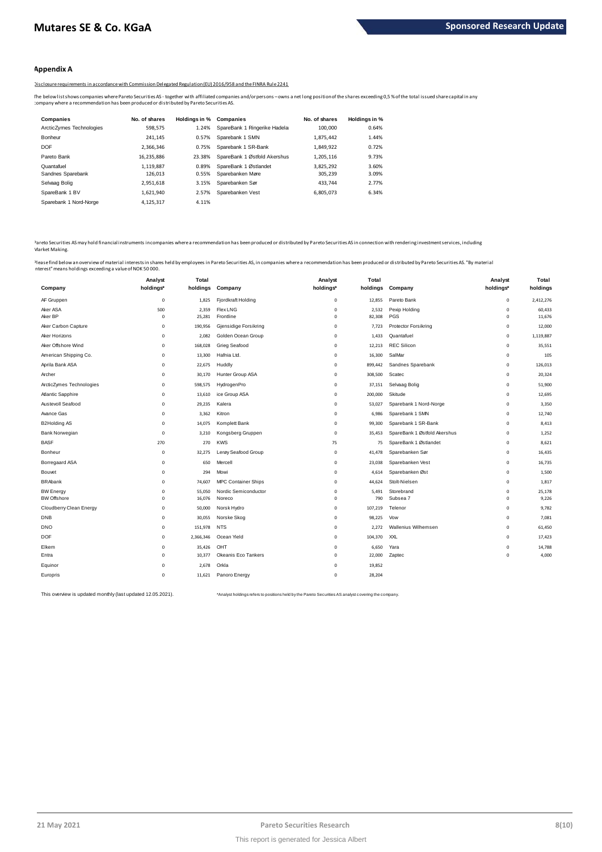## **Appendix A**

Disclosure requirements in accordance with Commission Delegated Regulation (EU) 2016/958 and the FINRA Rule 2241

The below listshows companies where Pareto Securities AS - together with affiliated companies and/orpersons –owns a net long position of the shares exceeding 0,5 % of the total issued share capital in any<br>:ompany where a r

| <b>Companies</b>         | No. of shares | Holdinas in % | <b>Companies</b>              | No. of shares | Holdings in % |
|--------------------------|---------------|---------------|-------------------------------|---------------|---------------|
| ArcticZymes Technologies | 598.575       | 1.24%         | SpareBank 1 Ringerike Hadelar | 100,000       | 0.64%         |
| Bonheur                  | 241.145       | 0.57%         | Sparebank 1 SMN               | 1.875.442     | 1.44%         |
| <b>DOF</b>               | 2.366.346     | 0.75%         | Sparebank 1 SR-Bank           | 1.849.922     | 0.72%         |
| Pareto Bank              | 16.235.886    | 23.38%        | SpareBank 1 Østfold Akershus  | 1.205.116     | 9.73%         |
| Quantafuel               | 1.119.887     | 0.89%         | SpareBank 1 Østlandet         | 3.825.292     | 3.60%         |
| Sandnes Sparebank        | 126.013       | 0.55%         | Sparebanken Møre              | 305.239       | 3.09%         |
| Selvaag Bolig            | 2.951.618     | 3.15%         | Sparebanken Sør               | 433.744       | 2.77%         |
| SpareBank 1 BV           | 1.621.940     | 2.57%         | Sparebanken Vest              | 6.805.073     | 6.34%         |
| Sparebank 1 Nord-Norge   | 4.125.317     | 4.11%         |                               |               |               |

Pareto Securities AS may hold financial instruments in companies where a recommendation has been produced or distributed by Pareto Securities AS in connection with rendering investment services, including Market Making. <sup>2</sup>areto Securities AS may hold financial instruments in companies where a recommendation has been produced or distributed by Pareto Securities AS in connection with rendering investment services, including<br>Market Making.<br>

interest" means holdings exceeding a value of NOK 50 000.

|                          | Analyst     | Total     |                                             | Analyst      | Total    |                              | Analyst      | Total     |
|--------------------------|-------------|-----------|---------------------------------------------|--------------|----------|------------------------------|--------------|-----------|
| Company                  | holdings*   | holdings  | Company                                     | holdings*    | holdings | Company                      | holdings*    | holdings  |
| AF Gruppen               | $\mathsf 0$ | 1,825     | Fjordkraft Holding                          | $\mathbf 0$  | 12,855   | Pareto Bank                  | $\mathsf 0$  | 2,412,276 |
| Aker ASA                 | 500         | 2,359     | <b>Flex LNG</b>                             | $\mathbf 0$  | 2,532    | Pexip Holding                | $\circ$      | 60,433    |
| Aker BP                  | $\mathsf 0$ | 25,281    | Frontline                                   | $\mathbf 0$  | 82,308   | PGS                          | $\mathbf 0$  | 11,676    |
| Aker Carbon Capture      | $\mathbf 0$ | 190,956   | Gjensidige Forsikring<br>Golden Ocean Group | $\mathbf{0}$ | 7,723    | Protector Forsikring         | $\mathbf{0}$ | 12,000    |
| Aker Horizons            | $\mathbf 0$ | 2,082     |                                             | $\mathbf 0$  | 1,433    | Quantafuel                   | $\mathbf 0$  | 1,119,887 |
| Aker Offshore Wind       | $\mathbf 0$ | 168,028   | Grieg Seafood                               | $\circ$      | 12,213   | <b>REC Silicon</b>           | $\circ$      | 35,551    |
| American Shipping Co.    | $\mathbf 0$ | 13,300    | Hafnia Ltd.                                 | $\mathbf 0$  | 16,300   | SalMar                       | $\mathbf 0$  | 105       |
| Aprila Bank ASA          | $\mathbf 0$ | 22,675    | Huddly                                      | $\mathbf{0}$ | 899,442  | Sandnes Sparebank            | $\circ$      | 126,013   |
| Archer                   | $^{\circ}$  | 30,170    | Hunter Group ASA                            | $\circ$      | 308,500  | Scatec                       | $\circ$      | 20,324    |
| ArcticZymes Technologies | $\mathbf 0$ | 598,575   | HydrogenPro                                 | $\mathbf{0}$ | 37,151   | Selvaag Bolig                | $\mathbf{0}$ | 51,900    |
| Atlantic Sapphire        | $^{\circ}$  | 13,610    | ice Group ASA                               | $\circ$      | 200,000  | Skitude                      | $\mathbf{0}$ | 12,695    |
| Austevoll Seafood        | $\mathsf 0$ | 29,235    | Kalera                                      | $\mathbf 0$  | 53,027   | Sparebank 1 Nord-Norge       | $\mathbf 0$  | 3,350     |
| Avance Gas               | $\mathbf 0$ | 3,362     | Kitron                                      | $\circ$      | 6,986    | Sparebank 1 SMN              | $\mathbf 0$  | 12,740    |
| <b>B2Holding AS</b>      | $\mathsf 0$ | 14,075    | Komplett Bank                               | $\mathbf 0$  | 99,300   | Sparebank 1 SR-Bank          | $\mathbf 0$  | 8,413     |
| Bank Norwegian           | $\mathbf 0$ | 3,210     | Kongsberg Gruppen                           | $\circ$      | 35,453   | SpareBank 1 Østfold Akershus | $\mathbf 0$  | 1,252     |
| <b>BASF</b>              | 270         | 270       | <b>KWS</b>                                  | 75           | 75       | SpareBank 1 Østlandet        | $\mathbf 0$  | 8,621     |
| Bonheur                  | $\mathsf 0$ | 32,275    | Lerøy Seafood Group                         | $\mathbf 0$  | 41,478   | Sparebanken Sør              | $\mathbf 0$  | 16,435    |
| Borregaard ASA           | $\mathbf 0$ | 650       | Mercell                                     | $\mathbf 0$  | 23,038   | Sparebanken Vest             | $\mathbf 0$  | 16,735    |
| Bouvet                   | $\mathsf 0$ | 294       | Mowi                                        | $\mathbf 0$  | 4,614    | Sparebanken Øst              | $\mathbf 0$  | 1,500     |
| <b>BRAbank</b>           | $^{\circ}$  | 74,607    | <b>MPC Container Ships</b>                  | $\circ$      | 44,624   | Stolt-Nielsen                | $\circ$      | 1,817     |
| <b>BW</b> Energy         | $\mathbf 0$ | 55,050    | Nordic Semiconductor                        | $\circ$      | 5,491    | Storebrand                   | $\mathbf 0$  | 25,178    |
| <b>BW Offshore</b>       | $\mathbf 0$ | 16,076    | Noreco                                      | $\circ$      | 790      | Subsea 7                     | $\circ$      | 9,226     |
| Cloudberry Clean Energy  | $^{\circ}$  | 50,000    | Norsk Hydro                                 | $\circ$      | 107,219  | Telenor                      | $\circ$      | 9,782     |
| <b>DNB</b>               | 0           | 30,055    | Norske Skog                                 | $\mathbf{0}$ | 98,225   | Vow                          | $\mathbf{0}$ | 7,081     |
| <b>DNO</b>               | 0           | 151,978   | <b>NTS</b>                                  | $\mathbf{0}$ | 2,272    | Wallenius Wilhemsen          | $\mathbf{0}$ | 61,450    |
| <b>DOF</b>               | $^{\circ}$  | 2,366,346 | Ocean Yield                                 | $\circ$      | 104,370  | XXL                          | $\circ$      | 17,423    |
| Elkem                    | $\mathbf 0$ | 35,426    | OHT                                         | $\mathbf 0$  | 6,650    | Yara                         | $\mathbf 0$  | 14,788    |
| Entra                    | 0           | 10,377    | Okeanis Eco Tankers                         | $\circ$      | 22,000   | Zaptec                       | $\mathbf 0$  | 4,000     |
| Equinor                  | $^{\circ}$  | 2,678     | Orkla                                       | $\circ$      | 19,852   |                              |              |           |
| Europris                 | $^{\circ}$  | 11,621    | Panoro Energy                               | $\mathbf 0$  | 28,204   |                              |              |           |

This overview is updated monthly (last updated 12.05.2021). \*Analyst holdings refers to positions held by the Pareto Securities AS analyst covering the company.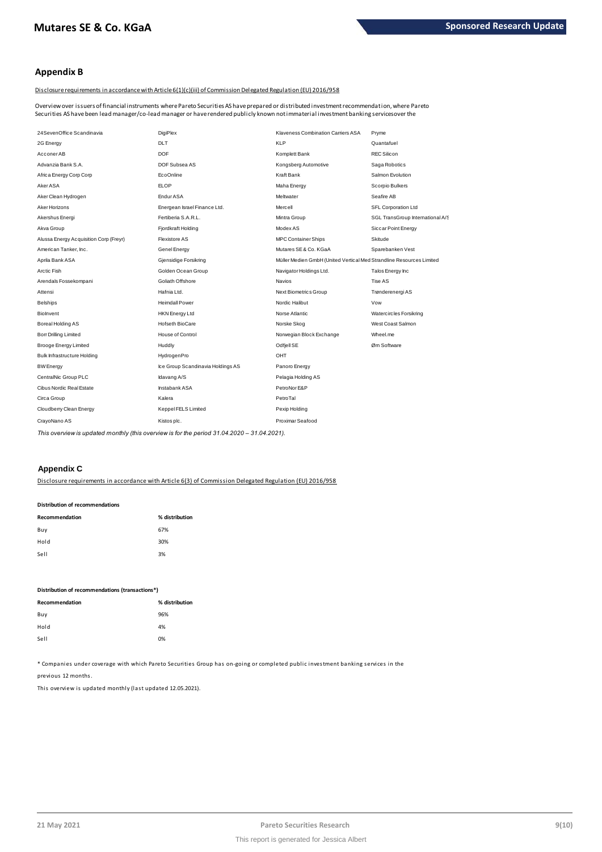# **Appendix B**

Disclosure requirements in accordance with Article 6(1)(c)(iii) of Commission Delegated Regulation (EU) 2016/958

Overview over issuers of financial instruments where Pareto Securities AS have prepared or distributed investment recommendation, where Pareto Securities AS have been lead manager/co-lead manager or have rendered publicly known not immaterial investment banking services over the

| 24SevenOffice Scandinavia              | DigiPlex                          | Klaveness Combination Carriers ASA                                   | Pryme                            |
|----------------------------------------|-----------------------------------|----------------------------------------------------------------------|----------------------------------|
| 2G Energy                              | <b>DLT</b>                        | <b>KLP</b>                                                           | Quantafuel                       |
| Acconer AB                             | <b>DOF</b>                        | Komplett Bank                                                        | <b>REC Silicon</b>               |
| Advanzia Bank S.A.                     | DOF Subsea AS                     | Kongsberg Automotive                                                 | Saga Robotics                    |
| Africa Energy Corp Corp                | <b>EcoOnline</b>                  | Kraft Bank                                                           | Salmon Evolution                 |
| <b>Aker ASA</b>                        | FLOP                              | Maha Energy                                                          | Scorpio Bulkers                  |
| Aker Clean Hydrogen                    | Endur ASA                         | Meltwater                                                            | Seafire AB                       |
| Aker Horizons                          | Energean Israel Finance Ltd.      | Mercell                                                              | SFL Corporation Ltd              |
| Akershus Energi                        | Fertiberia S.A.R.L.               | Mintra Group                                                         | SGL TransGroup International A/S |
| Akva Group                             | Fjordkraft Holding                | Modex AS                                                             | Siccar Point Energy              |
| Alussa Energy Acquisition Corp (Freyr) | Flexistore AS                     | <b>MPC Container Ships</b>                                           | Skitude                          |
| American Tanker, Inc.                  | Genel Energy                      | Mutares SE & Co. KGaA                                                | Sparebanken Vest                 |
| Aprila Bank ASA                        | Gjensidige Forsikring             | Müller Medien GmbH (United Vertical Med Strandline Resources Limited |                                  |
| Arctic Fish                            | Golden Ocean Group                | Navigator Holdings Ltd.                                              | Talos Energy Inc                 |
| Arendals Fossekompani                  | Goliath Offshore                  | <b>Navios</b>                                                        | Tise AS                          |
| Attensi                                | Hafnia Ltd.                       | Next Biometrics Group                                                | Trønderenergi AS                 |
| <b>Belships</b>                        | <b>Heimdall Power</b>             | Nordic Halibut                                                       | Vow                              |
| Biolnyent                              | <b>HKN Energy Ltd</b>             | Norse Atlantic                                                       | Watercircles Forsikring          |
| Boreal Holding AS                      | Hofseth BioCare                   | Norske Skog                                                          | West Coast Salmon                |
| <b>Borr Drilling Limited</b>           | House of Control                  | Norwegian Block Exchange                                             | Wheel.me                         |
| <b>Brooge Energy Limited</b>           | Huddly                            | Odfjell SE                                                           | Øm Software                      |
| <b>Bulk Infrastructure Holding</b>     | HydrogenPro                       | OHT                                                                  |                                  |
| <b>BW</b> Energy                       | Ice Group Scandinavia Holdings AS | Panoro Energy                                                        |                                  |
| CentralNic Group PLC                   | Idavang A/S                       | Pelagia Holding AS                                                   |                                  |
| Cibus Nordic Real Estate               | Instabank ASA                     | PetroNor E&P                                                         |                                  |
| Circa Group                            | Kalera                            | PetroTal                                                             |                                  |
| Cloudberry Clean Energy                | Keppel FELS Limited               | Pexip Holding                                                        |                                  |
| CrayoNano AS                           | Kistos plc.                       | Proximar Seafood                                                     |                                  |
|                                        |                                   |                                                                      |                                  |

*This overview is updated monthly (this overview is for the period 31.04.2020 – 31.04.2021).*

# **Appendix C**

Disclosure requirements in accordance with Article 6(3) of Commission Delegated Regulation (EU) 2016/958

#### **Distribution of recommendations**

| Recommendation | % distribution |
|----------------|----------------|
| Buy            | 67%            |
| Hold           | 30%            |
| Sell           | 3%             |

### **Distribution of recommendations (transactions\*)**

| % distribution |
|----------------|
| 96%            |
| 4%             |
| 0%             |
|                |

\* Companies under coverage with which Pareto Securities Group has on-going or completed public investment banking services in the

previous 12 months.

This overview is updated monthly (last updated 12.05.2021).